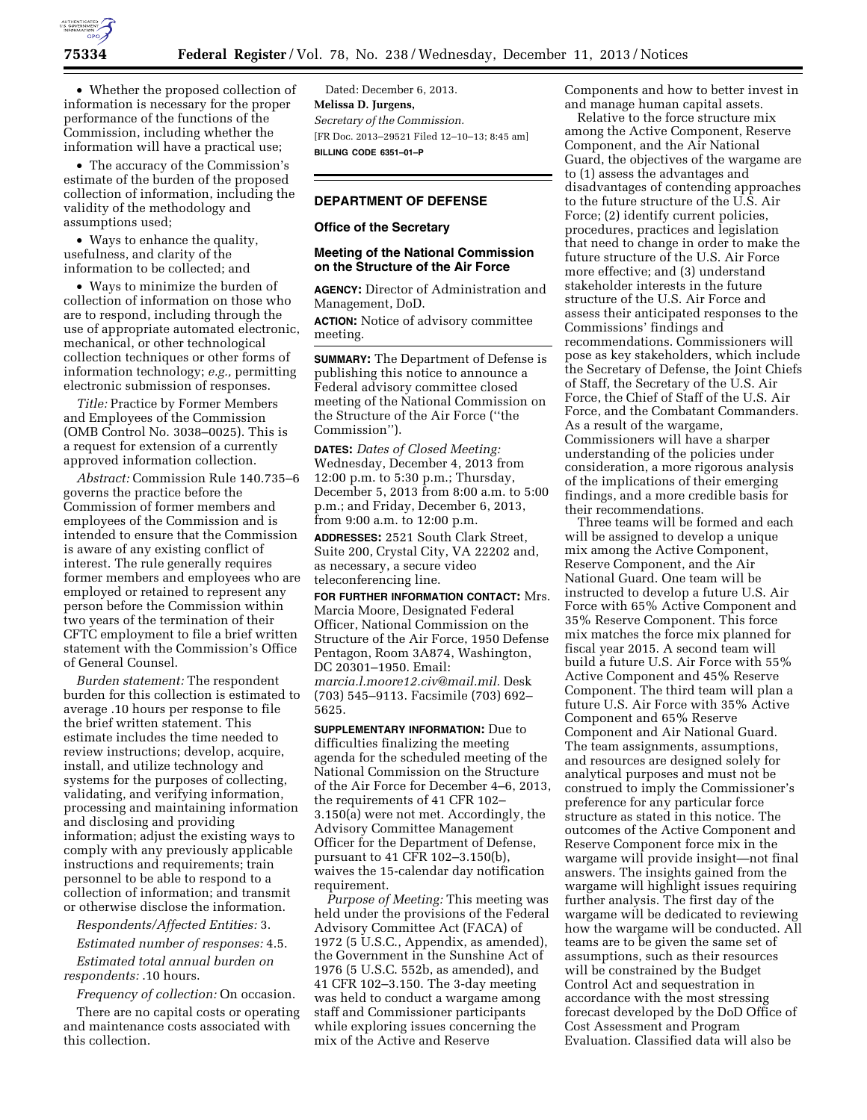

• Whether the proposed collection of information is necessary for the proper performance of the functions of the Commission, including whether the information will have a practical use;

• The accuracy of the Commission's estimate of the burden of the proposed collection of information, including the validity of the methodology and assumptions used;

• Ways to enhance the quality, usefulness, and clarity of the information to be collected; and

• Ways to minimize the burden of collection of information on those who are to respond, including through the use of appropriate automated electronic, mechanical, or other technological collection techniques or other forms of information technology; *e.g.,* permitting electronic submission of responses.

*Title:* Practice by Former Members and Employees of the Commission (OMB Control No. 3038–0025). This is a request for extension of a currently approved information collection.

*Abstract:* Commission Rule 140.735–6 governs the practice before the Commission of former members and employees of the Commission and is intended to ensure that the Commission is aware of any existing conflict of interest. The rule generally requires former members and employees who are employed or retained to represent any person before the Commission within two years of the termination of their CFTC employment to file a brief written statement with the Commission's Office of General Counsel.

*Burden statement:* The respondent burden for this collection is estimated to average .10 hours per response to file the brief written statement. This estimate includes the time needed to review instructions; develop, acquire, install, and utilize technology and systems for the purposes of collecting, validating, and verifying information, processing and maintaining information and disclosing and providing information; adjust the existing ways to comply with any previously applicable instructions and requirements; train personnel to be able to respond to a collection of information; and transmit or otherwise disclose the information.

*Respondents/Affected Entities:* 3.

*Estimated number of responses:* 4.5.

*Estimated total annual burden on respondents:* .10 hours.

*Frequency of collection:* On occasion.

There are no capital costs or operating and maintenance costs associated with this collection.

Dated: December 6, 2013. **Melissa D. Jurgens,**  *Secretary of the Commission.*  [FR Doc. 2013–29521 Filed 12–10–13; 8:45 am] **BILLING CODE 6351–01–P** 

# **DEPARTMENT OF DEFENSE**

#### **Office of the Secretary**

## **Meeting of the National Commission on the Structure of the Air Force**

**AGENCY:** Director of Administration and Management, DoD.

**ACTION:** Notice of advisory committee meeting.

**SUMMARY:** The Department of Defense is publishing this notice to announce a Federal advisory committee closed meeting of the National Commission on the Structure of the Air Force (''the Commission'').

**DATES:** *Dates of Closed Meeting:*  Wednesday, December 4, 2013 from 12:00 p.m. to 5:30 p.m.; Thursday, December 5, 2013 from 8:00 a.m. to 5:00 p.m.; and Friday, December 6, 2013, from 9:00 a.m. to 12:00 p.m.

**ADDRESSES:** 2521 South Clark Street, Suite 200, Crystal City, VA 22202 and, as necessary, a secure video teleconferencing line.

**FOR FURTHER INFORMATION CONTACT:** Mrs. Marcia Moore, Designated Federal Officer, National Commission on the Structure of the Air Force, 1950 Defense Pentagon, Room 3A874, Washington, DC 20301–1950. Email: *[marcia.l.moore12.civ@mail.mil.](mailto:marcia.l.moore12.civ@mail.mil)* Desk (703) 545–9113. Facsimile (703) 692– 5625.

**SUPPLEMENTARY INFORMATION:** Due to difficulties finalizing the meeting agenda for the scheduled meeting of the National Commission on the Structure of the Air Force for December 4–6, 2013, the requirements of 41 CFR 102– 3.150(a) were not met. Accordingly, the Advisory Committee Management Officer for the Department of Defense, pursuant to 41 CFR 102–3.150(b), waives the 15-calendar day notification requirement.

*Purpose of Meeting:* This meeting was held under the provisions of the Federal Advisory Committee Act (FACA) of 1972 (5 U.S.C., Appendix, as amended), the Government in the Sunshine Act of 1976 (5 U.S.C. 552b, as amended), and 41 CFR 102–3.150. The 3-day meeting was held to conduct a wargame among staff and Commissioner participants while exploring issues concerning the mix of the Active and Reserve

Components and how to better invest in and manage human capital assets.

Relative to the force structure mix among the Active Component, Reserve Component, and the Air National Guard, the objectives of the wargame are to (1) assess the advantages and disadvantages of contending approaches to the future structure of the U.S. Air Force; (2) identify current policies, procedures, practices and legislation that need to change in order to make the future structure of the U.S. Air Force more effective; and (3) understand stakeholder interests in the future structure of the U.S. Air Force and assess their anticipated responses to the Commissions' findings and recommendations. Commissioners will pose as key stakeholders, which include the Secretary of Defense, the Joint Chiefs of Staff, the Secretary of the U.S. Air Force, the Chief of Staff of the U.S. Air Force, and the Combatant Commanders. As a result of the wargame, Commissioners will have a sharper understanding of the policies under consideration, a more rigorous analysis of the implications of their emerging findings, and a more credible basis for their recommendations.

Three teams will be formed and each will be assigned to develop a unique mix among the Active Component, Reserve Component, and the Air National Guard. One team will be instructed to develop a future U.S. Air Force with 65% Active Component and 35% Reserve Component. This force mix matches the force mix planned for fiscal year 2015. A second team will build a future U.S. Air Force with 55% Active Component and 45% Reserve Component. The third team will plan a future U.S. Air Force with 35% Active Component and 65% Reserve Component and Air National Guard. The team assignments, assumptions, and resources are designed solely for analytical purposes and must not be construed to imply the Commissioner's preference for any particular force structure as stated in this notice. The outcomes of the Active Component and Reserve Component force mix in the wargame will provide insight—not final answers. The insights gained from the wargame will highlight issues requiring further analysis. The first day of the wargame will be dedicated to reviewing how the wargame will be conducted. All teams are to be given the same set of assumptions, such as their resources will be constrained by the Budget Control Act and sequestration in accordance with the most stressing forecast developed by the DoD Office of Cost Assessment and Program Evaluation. Classified data will also be